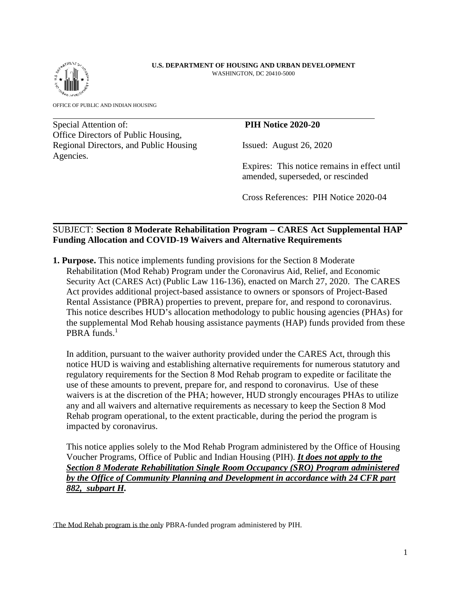#### **U.S. DEPARTMENT OF HOUSING AND URBAN DEVELOPMENT**  WASHINGTON, DC 20410-5000



OFFICE OF PUBLIC AND INDIAN HOUSING

Special Attention of: **PIH Notice 2020-20** Office Directors of Public Housing, Regional Directors, and Public Housing Issued: August 26, 2020 Agencies.

Expires: This notice remains in effect until amended, superseded, or rescinded

Cross References: PIH Notice 2020-04

# SUBJECT: **Section 8 Moderate Rehabilitation Program – CARES Act Supplemental HAP Funding Allocation and COVID-19 Waivers and Alternative Requirements**

**1. Purpose.** This notice implements funding provisions for the Section 8 Moderate Rehabilitation (Mod Rehab) Program under the Coronavirus Aid, Relief, and Economic Security Act (CARES Act) (Public Law 116-136), enacted on March 27, 2020. The CARES Act provides additional project-based assistance to owners or sponsors of Project-Based Rental Assistance (PBRA) properties to prevent, prepare for, and respond to coronavirus. This notice describes HUD's allocation methodology to public housing agencies (PHAs) for the supplemental Mod Rehab housing assistance payments (HAP) funds provided from these PBRA funds.<sup>1</sup>

In addition, pursuant to the waiver authority provided under the CARES Act, through this notice HUD is waiving and establishing alternative requirements for numerous statutory and regulatory requirements for the Section 8 Mod Rehab program to expedite or facilitate the use of these amounts to prevent, prepare for, and respond to coronavirus. Use of these waivers is at the discretion of the PHA; however, HUD strongly encourages PHAs to utilize any and all waivers and alternative requirements as necessary to keep the Section 8 Mod Rehab program operational, to the extent practicable, during the period the program is impacted by coronavirus.

This notice applies solely to the Mod Rehab Program administered by the Office of Housing Voucher Programs, Office of Public and Indian Housing (PIH). *It does not apply to the Section 8 Moderate Rehabilitation Single Room Occupancy (SRO) Program administered by the Office of Community Planning and Development in accordance with 24 CFR part 882, subpart H.* 

The Mod Rehab program is the only PBRA-funded program administered by PIH.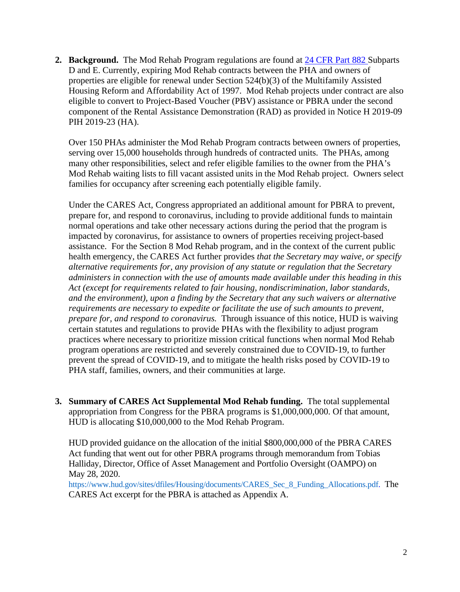**2. Background.** The Mod Rehab Program regulations are found at 24 CFR Part 882 Subparts D and E. Currently, expiring Mod Rehab contracts between the PHA and owners of properties are eligible for renewal under Section 524(b)(3) of the Multifamily Assisted Housing Reform and Affordability Act of 1997. Mod Rehab projects under contract are also eligible to convert to Project-Based Voucher (PBV) assistance or PBRA under the second component of the Rental Assistance Demonstration (RAD) as provided in Notice H 2019-09 PIH 2019-23 (HA).

Over 150 PHAs administer the Mod Rehab Program contracts between owners of properties, serving over 15,000 households through hundreds of contracted units. The PHAs, among many other responsibilities, select and refer eligible families to the owner from the PHA's Mod Rehab waiting lists to fill vacant assisted units in the Mod Rehab project. Owners select families for occupancy after screening each potentially eligible family.

Under the CARES Act, Congress appropriated an additional amount for PBRA to prevent, prepare for, and respond to coronavirus, including to provide additional funds to maintain normal operations and take other necessary actions during the period that the program is impacted by coronavirus, for assistance to owners of properties receiving project-based assistance. For the Section 8 Mod Rehab program, and in the context of the current public health emergency, the CARES Act further provides *that the Secretary may waive, or specify alternative requirements for, any provision of any statute or regulation that the Secretary administers in connection with the use of amounts made available under this heading in this Act (except for requirements related to fair housing, nondiscrimination, labor standards, and the environment), upon a finding by the Secretary that any such waivers or alternative requirements are necessary to expedite or facilitate the use of such amounts to prevent, prepare for, and respond to coronavirus.* Through issuance of this notice, HUD is waiving certain statutes and regulations to provide PHAs with the flexibility to adjust program practices where necessary to prioritize mission critical functions when normal Mod Rehab program operations are restricted and severely constrained due to COVID-19, to further prevent the spread of COVID-19, and to mitigate the health risks posed by COVID-19 to PHA staff, families, owners, and their communities at large.

**3. Summary of CARES Act Supplemental Mod Rehab funding.** The total supplemental appropriation from Congress for the PBRA programs is \$1,000,000,000. Of that amount, HUD is allocating \$10,000,000 to the Mod Rehab Program.

HUD provided guidance on the allocation of the initial \$800,000,000 of the PBRA CARES Act funding that went out for other PBRA programs through memorandum from Tobias Halliday, Director, Office of Asset Management and Portfolio Oversight (OAMPO) on May 28, 2020.

https://www.hud.gov/sites/dfiles/Housing/documents/CARES\_Sec\_8\_Funding\_Allocations.pdf. The CARES Act excerpt for the PBRA is attached as Appendix A.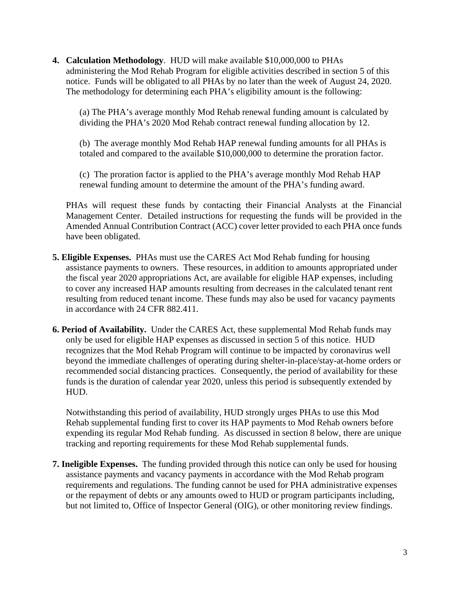**4. Calculation Methodology**. HUD will make available \$10,000,000 to PHAs administering the Mod Rehab Program for eligible activities described in section 5 of this notice. Funds will be obligated to all PHAs by no later than the week of August 24, 2020. The methodology for determining each PHA's eligibility amount is the following:

(a) The PHA's average monthly Mod Rehab renewal funding amount is calculated by dividing the PHA's 2020 Mod Rehab contract renewal funding allocation by 12.

(b) The average monthly Mod Rehab HAP renewal funding amounts for all PHAs is totaled and compared to the available \$10,000,000 to determine the proration factor.

(c) The proration factor is applied to the PHA's average monthly Mod Rehab HAP renewal funding amount to determine the amount of the PHA's funding award.

PHAs will request these funds by contacting their Financial Analysts at the Financial Management Center. Detailed instructions for requesting the funds will be provided in the Amended Annual Contribution Contract (ACC) cover letter provided to each PHA once funds have been obligated.

- **5. Eligible Expenses.** PHAs must use the CARES Act Mod Rehab funding for housing assistance payments to owners. These resources, in addition to amounts appropriated under the fiscal year 2020 appropriations Act, are available for eligible HAP expenses, including to cover any increased HAP amounts resulting from decreases in the calculated tenant rent resulting from reduced tenant income. These funds may also be used for vacancy payments in accordance with 24 CFR 882.411.
- **6. Period of Availability.** Under the CARES Act, these supplemental Mod Rehab funds may only be used for eligible HAP expenses as discussed in section 5 of this notice. HUD recognizes that the Mod Rehab Program will continue to be impacted by coronavirus well beyond the immediate challenges of operating during shelter-in-place/stay-at-home orders or recommended social distancing practices. Consequently, the period of availability for these funds is the duration of calendar year 2020, unless this period is subsequently extended by HUD.

Notwithstanding this period of availability, HUD strongly urges PHAs to use this Mod Rehab supplemental funding first to cover its HAP payments to Mod Rehab owners before expending its regular Mod Rehab funding. As discussed in section 8 below, there are unique tracking and reporting requirements for these Mod Rehab supplemental funds.

**7. Ineligible Expenses.** The funding provided through this notice can only be used for housing assistance payments and vacancy payments in accordance with the Mod Rehab program requirements and regulations. The funding cannot be used for PHA administrative expenses or the repayment of debts or any amounts owed to HUD or program participants including, but not limited to, Office of Inspector General (OIG), or other monitoring review findings.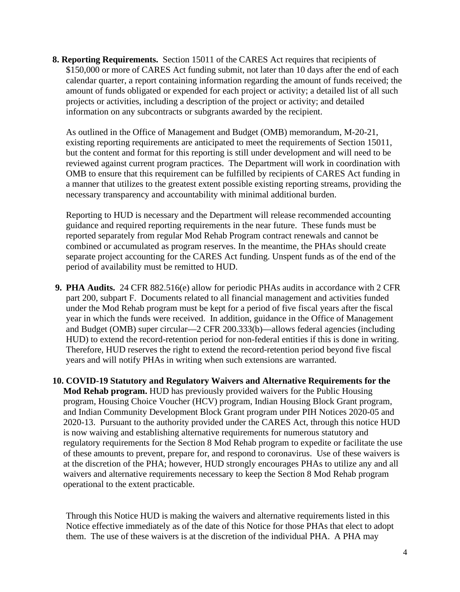**8. Reporting Requirements.** Section 15011 of the CARES Act requires that recipients of \$150,000 or more of CARES Act funding submit, not later than 10 days after the end of each calendar quarter, a report containing information regarding the amount of funds received; the amount of funds obligated or expended for each project or activity; a detailed list of all such projects or activities, including a description of the project or activity; and detailed information on any subcontracts or subgrants awarded by the recipient.

As outlined in the Office of Management and Budget (OMB) memorandum, M-20-21, existing reporting requirements are anticipated to meet the requirements of Section 15011, but the content and format for this reporting is still under development and will need to be reviewed against current program practices. The Department will work in coordination with OMB to ensure that this requirement can be fulfilled by recipients of CARES Act funding in a manner that utilizes to the greatest extent possible existing reporting streams, providing the necessary transparency and accountability with minimal additional burden.

Reporting to HUD is necessary and the Department will release recommended accounting guidance and required reporting requirements in the near future. These funds must be reported separately from regular Mod Rehab Program contract renewals and cannot be combined or accumulated as program reserves. In the meantime, the PHAs should create separate project accounting for the CARES Act funding. Unspent funds as of the end of the period of availability must be remitted to HUD.

**9. PHA Audits.** 24 CFR 882.516(e) allow for periodic PHAs audits in accordance with 2 CFR part 200, subpart F. Documents related to all financial management and activities funded under the Mod Rehab program must be kept for a period of five fiscal years after the fiscal year in which the funds were received. In addition, guidance in the Office of Management and Budget (OMB) super circular—2 CFR 200.333(b)—allows federal agencies (including HUD) to extend the record-retention period for non-federal entities if this is done in writing. Therefore, HUD reserves the right to extend the record-retention period beyond five fiscal years and will notify PHAs in writing when such extensions are warranted.

**10. COVID-19 Statutory and Regulatory Waivers and Alternative Requirements for the Mod Rehab program.** HUD has previously provided waivers for the Public Housing program, Housing Choice Voucher (HCV) program, Indian Housing Block Grant program, and Indian Community Development Block Grant program under PIH Notices 2020-05 and 2020-13. Pursuant to the authority provided under the CARES Act, through this notice HUD is now waiving and establishing alternative requirements for numerous statutory and regulatory requirements for the Section 8 Mod Rehab program to expedite or facilitate the use of these amounts to prevent, prepare for, and respond to coronavirus. Use of these waivers is at the discretion of the PHA; however, HUD strongly encourages PHAs to utilize any and all waivers and alternative requirements necessary to keep the Section 8 Mod Rehab program operational to the extent practicable.

Through this Notice HUD is making the waivers and alternative requirements listed in this Notice effective immediately as of the date of this Notice for those PHAs that elect to adopt them. The use of these waivers is at the discretion of the individual PHA. A PHA may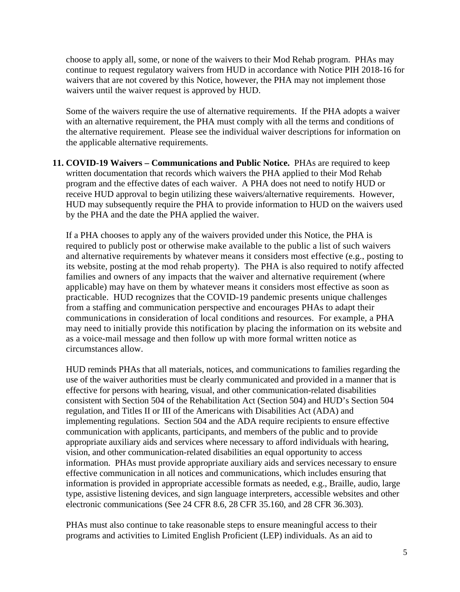choose to apply all, some, or none of the waivers to their Mod Rehab program. PHAs may continue to request regulatory waivers from HUD in accordance with Notice PIH 2018-16 for waivers that are not covered by this Notice, however, the PHA may not implement those waivers until the waiver request is approved by HUD.

Some of the waivers require the use of alternative requirements. If the PHA adopts a waiver with an alternative requirement, the PHA must comply with all the terms and conditions of the alternative requirement. Please see the individual waiver descriptions for information on the applicable alternative requirements.

**11. COVID-19 Waivers – Communications and Public Notice.** PHAs are required to keep written documentation that records which waivers the PHA applied to their Mod Rehab program and the effective dates of each waiver. A PHA does not need to notify HUD or receive HUD approval to begin utilizing these waivers/alternative requirements. However, HUD may subsequently require the PHA to provide information to HUD on the waivers used by the PHA and the date the PHA applied the waiver.

If a PHA chooses to apply any of the waivers provided under this Notice, the PHA is required to publicly post or otherwise make available to the public a list of such waivers and alternative requirements by whatever means it considers most effective (e.g., posting to its website, posting at the mod rehab property). The PHA is also required to notify affected families and owners of any impacts that the waiver and alternative requirement (where applicable) may have on them by whatever means it considers most effective as soon as practicable. HUD recognizes that the COVID-19 pandemic presents unique challenges from a staffing and communication perspective and encourages PHAs to adapt their communications in consideration of local conditions and resources. For example, a PHA may need to initially provide this notification by placing the information on its website and as a voice-mail message and then follow up with more formal written notice as circumstances allow.

HUD reminds PHAs that all materials, notices, and communications to families regarding the use of the waiver authorities must be clearly communicated and provided in a manner that is effective for persons with hearing, visual, and other communication-related disabilities consistent with Section 504 of the Rehabilitation Act (Section 504) and HUD's Section 504 regulation, and Titles II or III of the Americans with Disabilities Act (ADA) and implementing regulations. Section 504 and the ADA require recipients to ensure effective communication with applicants, participants, and members of the public and to provide appropriate auxiliary aids and services where necessary to afford individuals with hearing, vision, and other communication-related disabilities an equal opportunity to access information. PHAs must provide appropriate auxiliary aids and services necessary to ensure effective communication in all notices and communications, which includes ensuring that information is provided in appropriate accessible formats as needed, e.g., Braille, audio, large type, assistive listening devices, and sign language interpreters, accessible websites and other electronic communications (See 24 CFR 8.6, 28 CFR 35.160, and 28 CFR 36.303).

PHAs must also continue to take reasonable steps to ensure meaningful access to their programs and activities to Limited English Proficient (LEP) individuals. As an aid to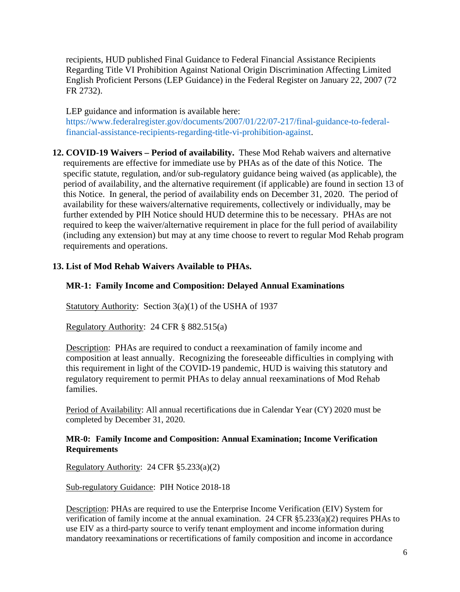recipients, HUD published Final Guidance to Federal Financial Assistance Recipients Regarding Title VI Prohibition Against National Origin Discrimination Affecting Limited English Proficient Persons (LEP Guidance) in the Federal Register on January 22, 2007 (72 FR 2732).

LEP guidance and information is available here: https://www.federalregister.gov/documents/2007/01/22/07-217/final-guidance-to-federalfinancial-assistance-recipients-regarding-title-vi-prohibition-against.

**12. COVID-19 Waivers – Period of availability.** These Mod Rehab waivers and alternative requirements are effective for immediate use by PHAs as of the date of this Notice. The specific statute, regulation, and/or sub-regulatory guidance being waived (as applicable), the period of availability, and the alternative requirement (if applicable) are found in section 13 of this Notice. In general, the period of availability ends on December 31, 2020. The period of availability for these waivers/alternative requirements, collectively or individually, may be further extended by PIH Notice should HUD determine this to be necessary. PHAs are not required to keep the waiver/alternative requirement in place for the full period of availability (including any extension) but may at any time choose to revert to regular Mod Rehab program requirements and operations.

# **13. List of Mod Rehab Waivers Available to PHAs.**

### **MR-1: Family Income and Composition: Delayed Annual Examinations**

Statutory Authority: Section 3(a)(1) of the USHA of 1937

Regulatory Authority: 24 CFR § 882.515(a)

Description: PHAs are required to conduct a reexamination of family income and composition at least annually. Recognizing the foreseeable difficulties in complying with this requirement in light of the COVID-19 pandemic, HUD is waiving this statutory and regulatory requirement to permit PHAs to delay annual reexaminations of Mod Rehab families.

Period of Availability: All annual recertifications due in Calendar Year (CY) 2020 must be completed by December 31, 2020.

### **MR-0: Family Income and Composition: Annual Examination; Income Verification Requirements**

Regulatory Authority: 24 CFR §5.233(a)(2)

Sub-regulatory Guidance: PIH Notice 2018-18

Description: PHAs are required to use the Enterprise Income Verification (EIV) System for verification of family income at the annual examination. 24 CFR §5.233(a)(2) requires PHAs to use EIV as a third-party source to verify tenant employment and income information during mandatory reexaminations or recertifications of family composition and income in accordance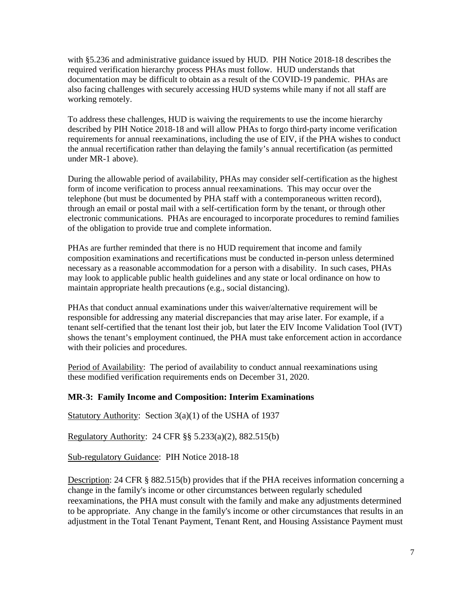with §5.236 and administrative guidance issued by HUD. PIH Notice 2018-18 describes the required verification hierarchy process PHAs must follow. HUD understands that documentation may be difficult to obtain as a result of the COVID-19 pandemic. PHAs are also facing challenges with securely accessing HUD systems while many if not all staff are working remotely.

To address these challenges, HUD is waiving the requirements to use the income hierarchy described by PIH Notice 2018-18 and will allow PHAs to forgo third-party income verification requirements for annual reexaminations, including the use of EIV, if the PHA wishes to conduct the annual recertification rather than delaying the family's annual recertification (as permitted under MR-1 above).

During the allowable period of availability, PHAs may consider self-certification as the highest form of income verification to process annual reexaminations. This may occur over the telephone (but must be documented by PHA staff with a contemporaneous written record), through an email or postal mail with a self-certification form by the tenant, or through other electronic communications. PHAs are encouraged to incorporate procedures to remind families of the obligation to provide true and complete information.

PHAs are further reminded that there is no HUD requirement that income and family composition examinations and recertifications must be conducted in-person unless determined necessary as a reasonable accommodation for a person with a disability. In such cases, PHAs may look to applicable public health guidelines and any state or local ordinance on how to maintain appropriate health precautions (e.g., social distancing).

PHAs that conduct annual examinations under this waiver/alternative requirement will be responsible for addressing any material discrepancies that may arise later. For example, if a tenant self-certified that the tenant lost their job, but later the EIV Income Validation Tool (IVT) shows the tenant's employment continued, the PHA must take enforcement action in accordance with their policies and procedures.

Period of Availability: The period of availability to conduct annual reexaminations using these modified verification requirements ends on December 31, 2020.

### **MR-3: Family Income and Composition: Interim Examinations**

Statutory Authority: Section 3(a)(1) of the USHA of 1937

Regulatory Authority: 24 CFR §§ 5.233(a)(2), 882.515(b)

Sub-regulatory Guidance: PIH Notice 2018-18

Description: 24 CFR § 882.515(b) provides that if the PHA receives information concerning a change in the family's income or other circumstances between regularly scheduled reexaminations, the PHA must consult with the family and make any adjustments determined to be appropriate. Any change in the family's income or other circumstances that results in an adjustment in the Total Tenant Payment, Tenant Rent, and Housing Assistance Payment must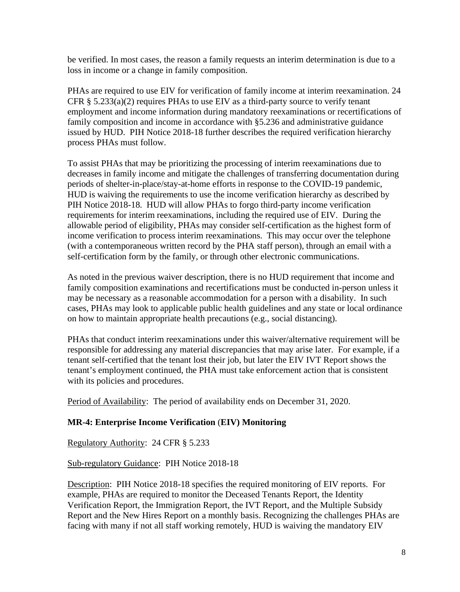be verified. In most cases, the reason a family requests an interim determination is due to a loss in income or a change in family composition.

PHAs are required to use EIV for verification of family income at interim reexamination. 24 CFR  $\S$  5.233(a)(2) requires PHAs to use EIV as a third-party source to verify tenant employment and income information during mandatory reexaminations or recertifications of family composition and income in accordance with §5.236 and administrative guidance issued by HUD. PIH Notice 2018-18 further describes the required verification hierarchy process PHAs must follow.

To assist PHAs that may be prioritizing the processing of interim reexaminations due to decreases in family income and mitigate the challenges of transferring documentation during periods of shelter-in-place/stay-at-home efforts in response to the COVID-19 pandemic, HUD is waiving the requirements to use the income verification hierarchy as described by PIH Notice 2018-18. HUD will allow PHAs to forgo third-party income verification requirements for interim reexaminations, including the required use of EIV. During the allowable period of eligibility, PHAs may consider self-certification as the highest form of income verification to process interim reexaminations. This may occur over the telephone (with a contemporaneous written record by the PHA staff person), through an email with a self-certification form by the family, or through other electronic communications.

As noted in the previous waiver description, there is no HUD requirement that income and family composition examinations and recertifications must be conducted in-person unless it may be necessary as a reasonable accommodation for a person with a disability. In such cases, PHAs may look to applicable public health guidelines and any state or local ordinance on how to maintain appropriate health precautions (e.g., social distancing).

PHAs that conduct interim reexaminations under this waiver/alternative requirement will be responsible for addressing any material discrepancies that may arise later. For example, if a tenant self-certified that the tenant lost their job, but later the EIV IVT Report shows the tenant's employment continued, the PHA must take enforcement action that is consistent with its policies and procedures.

Period of Availability: The period of availability ends on December 31, 2020.

### **MR-4: Enterprise Income Verification** (**EIV) Monitoring**

Regulatory Authority: 24 CFR § 5.233

Sub-regulatory Guidance: PIH Notice 2018-18

Description: PIH Notice 2018-18 specifies the required monitoring of EIV reports. For example, PHAs are required to monitor the Deceased Tenants Report, the Identity Verification Report, the Immigration Report, the IVT Report, and the Multiple Subsidy Report and the New Hires Report on a monthly basis. Recognizing the challenges PHAs are facing with many if not all staff working remotely, HUD is waiving the mandatory EIV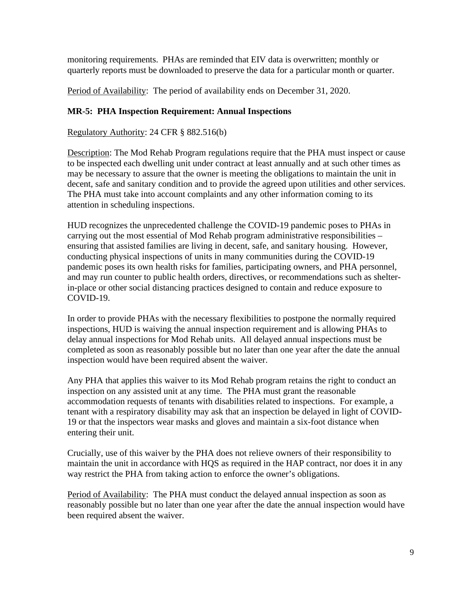monitoring requirements. PHAs are reminded that EIV data is overwritten; monthly or quarterly reports must be downloaded to preserve the data for a particular month or quarter.

Period of Availability: The period of availability ends on December 31, 2020.

# **MR-5: PHA Inspection Requirement: Annual Inspections**

Regulatory Authority: 24 CFR § 882.516(b)

Description: The Mod Rehab Program regulations require that the PHA must inspect or cause to be inspected each dwelling unit under contract at least annually and at such other times as may be necessary to assure that the owner is meeting the obligations to maintain the unit in decent, safe and sanitary condition and to provide the agreed upon utilities and other services. The PHA must take into account complaints and any other information coming to its attention in scheduling inspections.

HUD recognizes the unprecedented challenge the COVID-19 pandemic poses to PHAs in carrying out the most essential of Mod Rehab program administrative responsibilities – ensuring that assisted families are living in decent, safe, and sanitary housing. However, conducting physical inspections of units in many communities during the COVID-19 pandemic poses its own health risks for families, participating owners, and PHA personnel, and may run counter to public health orders, directives, or recommendations such as shelterin-place or other social distancing practices designed to contain and reduce exposure to COVID-19.

In order to provide PHAs with the necessary flexibilities to postpone the normally required inspections, HUD is waiving the annual inspection requirement and is allowing PHAs to delay annual inspections for Mod Rehab units. All delayed annual inspections must be completed as soon as reasonably possible but no later than one year after the date the annual inspection would have been required absent the waiver.

Any PHA that applies this waiver to its Mod Rehab program retains the right to conduct an inspection on any assisted unit at any time. The PHA must grant the reasonable accommodation requests of tenants with disabilities related to inspections. For example, a tenant with a respiratory disability may ask that an inspection be delayed in light of COVID-19 or that the inspectors wear masks and gloves and maintain a six-foot distance when entering their unit.

Crucially, use of this waiver by the PHA does not relieve owners of their responsibility to maintain the unit in accordance with HQS as required in the HAP contract, nor does it in any way restrict the PHA from taking action to enforce the owner's obligations.

Period of Availability: The PHA must conduct the delayed annual inspection as soon as reasonably possible but no later than one year after the date the annual inspection would have been required absent the waiver.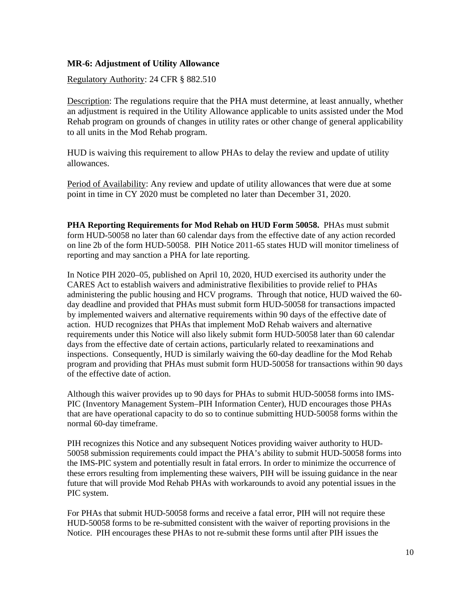# **MR-6: Adjustment of Utility Allowance**

## Regulatory Authority: 24 CFR § 882.510

Description: The regulations require that the PHA must determine, at least annually, whether an adjustment is required in the Utility Allowance applicable to units assisted under the Mod Rehab program on grounds of changes in utility rates or other change of general applicability to all units in the Mod Rehab program.

HUD is waiving this requirement to allow PHAs to delay the review and update of utility allowances.

Period of Availability: Any review and update of utility allowances that were due at some point in time in CY 2020 must be completed no later than December 31, 2020.

**PHA Reporting Requirements for Mod Rehab on HUD Form 50058.** PHAs must submit form HUD-50058 no later than 60 calendar days from the effective date of any action recorded on line 2b of the form HUD-50058. PIH Notice 2011-65 states HUD will monitor timeliness of reporting and may sanction a PHA for late reporting.

In Notice PIH 2020–05, published on April 10, 2020, HUD exercised its authority under the CARES Act to establish waivers and administrative flexibilities to provide relief to PHAs administering the public housing and HCV programs. Through that notice, HUD waived the 60 day deadline and provided that PHAs must submit form HUD-50058 for transactions impacted by implemented waivers and alternative requirements within 90 days of the effective date of action. HUD recognizes that PHAs that implement MoD Rehab waivers and alternative requirements under this Notice will also likely submit form HUD-50058 later than 60 calendar days from the effective date of certain actions, particularly related to reexaminations and inspections. Consequently, HUD is similarly waiving the 60-day deadline for the Mod Rehab program and providing that PHAs must submit form HUD-50058 for transactions within 90 days of the effective date of action.

Although this waiver provides up to 90 days for PHAs to submit HUD-50058 forms into IMS-PIC (Inventory Management System–PIH Information Center), HUD encourages those PHAs that are have operational capacity to do so to continue submitting HUD-50058 forms within the normal 60-day timeframe.

PIH recognizes this Notice and any subsequent Notices providing waiver authority to HUD-50058 submission requirements could impact the PHA's ability to submit HUD-50058 forms into the IMS-PIC system and potentially result in fatal errors. In order to minimize the occurrence of these errors resulting from implementing these waivers, PIH will be issuing guidance in the near future that will provide Mod Rehab PHAs with workarounds to avoid any potential issues in the PIC system.

For PHAs that submit HUD-50058 forms and receive a fatal error, PIH will not require these HUD-50058 forms to be re-submitted consistent with the waiver of reporting provisions in the Notice. PIH encourages these PHAs to not re-submit these forms until after PIH issues the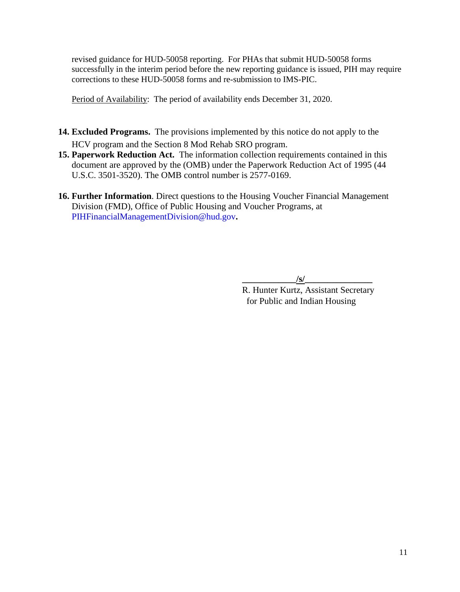revised guidance for HUD-50058 reporting. For PHAs that submit HUD-50058 forms successfully in the interim period before the new reporting guidance is issued, PIH may require corrections to these HUD-50058 forms and re-submission to IMS-PIC.

Period of Availability: The period of availability ends December 31, 2020.

- **14. Excluded Programs.** The provisions implemented by this notice do not apply to the HCV program and the Section 8 Mod Rehab SRO program.
- **15. Paperwork Reduction Act.** The information collection requirements contained in this document are approved by the (OMB) under the Paperwork Reduction Act of 1995 (44 U.S.C. 3501-3520). The OMB control number is 2577-0169.
- **16. Further Information**. Direct questions to the Housing Voucher Financial Management Division (FMD), Office of Public Housing and Voucher Programs, at PIHFinancialManagementDivision@hud.gov**.**

 $\sqrt{s}$ 

R. Hunter Kurtz, Assistant Secretary for Public and Indian Housing